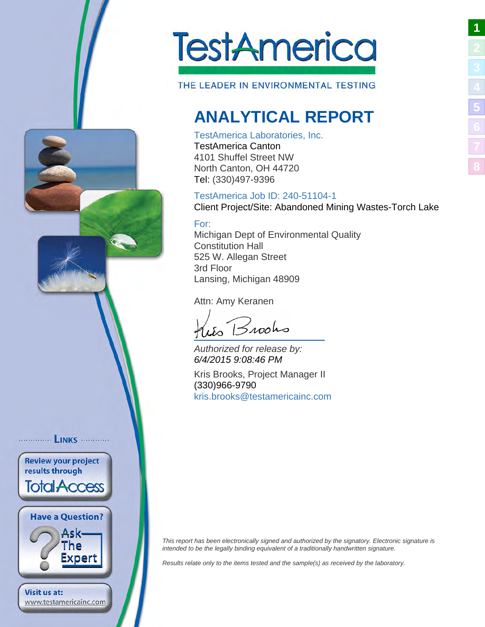

THE LEADER IN ENVIRONMENTAL TESTING

## <span id="page-0-1"></span>**ANALYTICAL REPORT**

### TestAmerica Laboratories, Inc.

TestAmerica Canton 4101 Shuffel Street NW North Canton, OH 44720 Tel: (330)497-9396

## TestAmerica Job ID: 240-51104-1

Client Project/Site: Abandoned Mining Wastes-Torch Lake

### For:

Michigan Dept of Environmental Quality Constitution Hall 525 W. Allegan Street 3rd Floor Lansing, Michigan 48909

Attn: Amy Keranen

 $B$ 100ho

Authorized for release by: 6/4/2015 9:08:46 PM

Kris Brooks, Project Manager II (330)966-9790 [kris.brooks@testamericainc.](mailto:kris.brooks@testamericainc.com)com

<span id="page-0-2"></span>This report has been electronically signed and authorized by the signatory. Electronic signature is intended to be the legally binding equivalent of a traditionally handwritten signature.

Results relate only to the items tested and the sample(s) as received by the laboratory.

<span id="page-0-0"></span>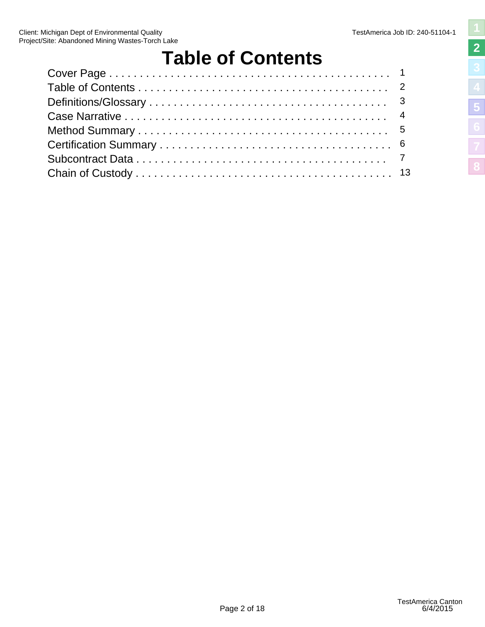# <span id="page-1-1"></span>**Table of Contents**

<span id="page-1-2"></span><span id="page-1-0"></span>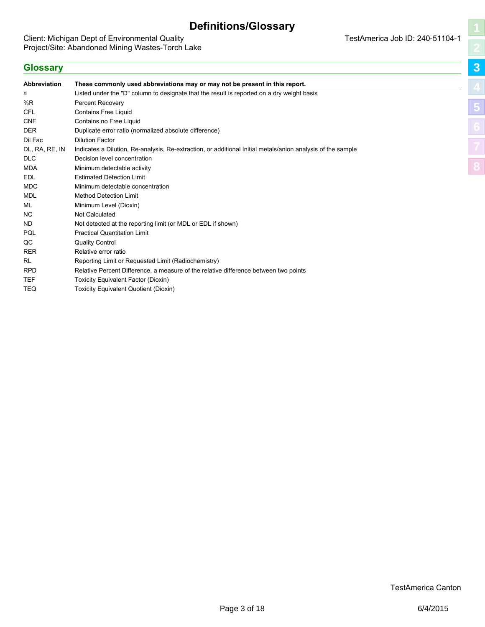### **Definitions/Glossary**

<span id="page-2-0"></span>Client: Michigan Dept of Environmental Quality Project/Site: Abandoned Mining Wastes-Torch Lake <span id="page-2-1"></span>**[3](#page-2-0) [5](#page-4-0)**

**[8](#page-12-0)**

### **Glossary**

<span id="page-2-2"></span>

| Abbreviation   | These commonly used abbreviations may or may not be present in this report.                                 |
|----------------|-------------------------------------------------------------------------------------------------------------|
| ¤              | Listed under the "D" column to designate that the result is reported on a dry weight basis                  |
| %R             | <b>Percent Recovery</b>                                                                                     |
| <b>CFL</b>     | <b>Contains Free Liquid</b>                                                                                 |
| <b>CNF</b>     | Contains no Free Liquid                                                                                     |
| <b>DER</b>     | Duplicate error ratio (normalized absolute difference)                                                      |
| Dil Fac        | <b>Dilution Factor</b>                                                                                      |
| DL, RA, RE, IN | Indicates a Dilution, Re-analysis, Re-extraction, or additional Initial metals/anion analysis of the sample |
| <b>DLC</b>     | Decision level concentration                                                                                |
| <b>MDA</b>     | Minimum detectable activity                                                                                 |
| <b>EDL</b>     | <b>Estimated Detection Limit</b>                                                                            |
| <b>MDC</b>     | Minimum detectable concentration                                                                            |
| MDL            | <b>Method Detection Limit</b>                                                                               |
| ML             | Minimum Level (Dioxin)                                                                                      |
| NC.            | <b>Not Calculated</b>                                                                                       |
| ND             | Not detected at the reporting limit (or MDL or EDL if shown)                                                |
| PQL            | <b>Practical Quantitation Limit</b>                                                                         |
| QC             | <b>Quality Control</b>                                                                                      |
| <b>RER</b>     | Relative error ratio                                                                                        |
| RL             | Reporting Limit or Requested Limit (Radiochemistry)                                                         |
| <b>RPD</b>     | Relative Percent Difference, a measure of the relative difference between two points                        |
| <b>TEF</b>     | Toxicity Equivalent Factor (Dioxin)                                                                         |
| TEQ            | <b>Toxicity Equivalent Quotient (Dioxin)</b>                                                                |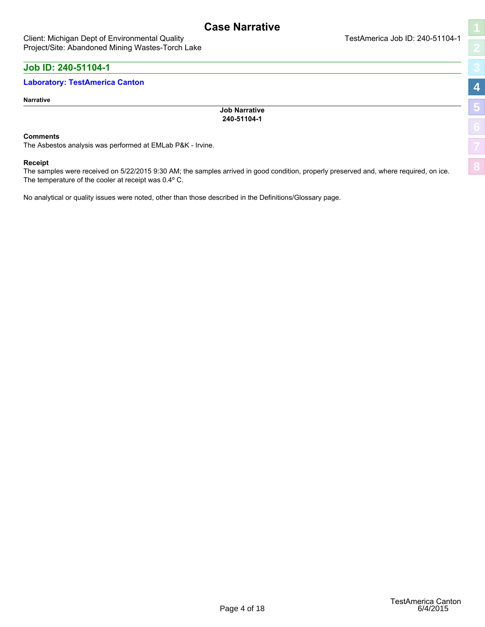<span id="page-3-1"></span>**[8](#page-12-0)**

### <span id="page-3-0"></span>**Job ID: 240-51104-1**

### **Laboratory: TestAmerica Canton**

#### **Narrative**

**Job Narrative 240-51104-1**

#### **Comments**

The Asbestos analysis was performed at EMLab P&K - Irvine.

#### **Receipt**

The samples were received on 5/22/2015 9:30 AM; the samples arrived in good condition, properly preserved and, where required, on ice. The temperature of the cooler at receipt was 0.4º C.

<span id="page-3-2"></span>No analytical or quality issues were noted, other than those described in the Definitions/Glossary page.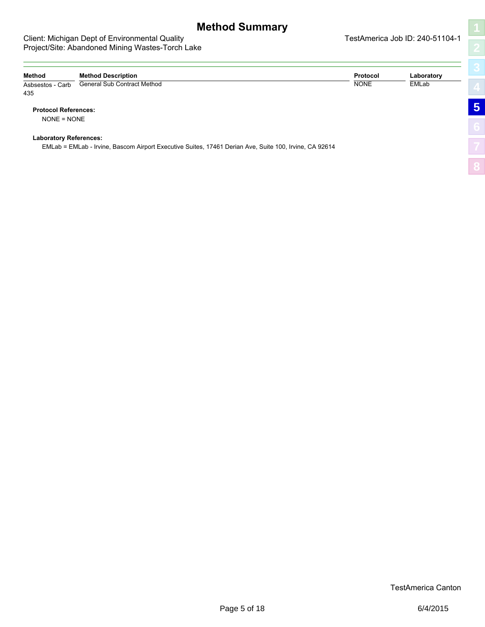#### <span id="page-4-0"></span>Client: Michigan Dept of Environmental Quality Number of America Job ID: 240-51104-1 Project/Site: Abandoned Mining Wastes-Torch Lake

<span id="page-4-1"></span>**[5](#page-4-0)**

<span id="page-4-2"></span>

| Method                        | <b>Method Description</b>                                                                              | <b>Protocol</b> | Laboratory |                |
|-------------------------------|--------------------------------------------------------------------------------------------------------|-----------------|------------|----------------|
| Asbsestos - Carb<br>435       | General Sub Contract Method                                                                            | <b>NONE</b>     | EMLab      | 4              |
| <b>Protocol References:</b>   |                                                                                                        |                 |            | $\overline{5}$ |
| $NONE = NONE$                 |                                                                                                        |                 |            |                |
| <b>Laboratory References:</b> | EMLab = EMLab - Irvine, Bascom Airport Executive Suites, 17461 Derian Ave, Suite 100, Irvine, CA 92614 |                 |            |                |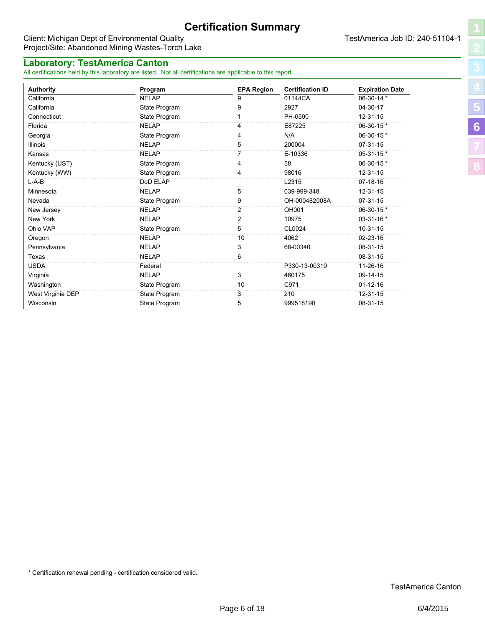### **Certification Summary**

#### <span id="page-5-0"></span>Client: Michigan Dept of Environmental Quality **TestAmerica Job ID: 240-51104-1** Project/Site: Abandoned Mining Wastes-Torch Lake

### **Laboratory: TestAmerica Canton**

All certifications held by this laboratory are listed. Not all certifications are applicable to this report.

<span id="page-5-1"></span>**[8](#page-12-0)**

| <b>Authority</b>  | Program       | <b>EPA Region</b> | <b>Certification ID</b> | <b>Expiration Date</b> |
|-------------------|---------------|-------------------|-------------------------|------------------------|
| California        | <b>NELAP</b>  | 9                 | 01144CA                 | 06-30-14 *             |
| California        | State Program | 9                 | 2927                    | 04-30-17               |
| Connecticut       | State Program |                   | PH-0590                 | 12-31-15               |
| Florida           | <b>NELAP</b>  | 4                 | E87225                  | 06-30-15*              |
| Georgia           | State Program | 4                 | N/A                     | 06-30-15 *             |
| Illinois          | <b>NELAP</b>  | 5                 | 200004                  | $07-31-15$             |
| Kansas            | <b>NELAP</b>  | 7                 | E-10336                 | 05-31-15 *             |
| Kentucky (UST)    | State Program | 4                 | 58                      | 06-30-15 *             |
| Kentucky (WW)     | State Program |                   | 98016                   | 12-31-15               |
| $L-A-B$           | DoD ELAP      |                   | L2315                   | $07 - 18 - 16$         |
| Minnesota         | <b>NELAP</b>  | 5                 | 039-999-348             | 12-31-15               |
| Nevada            | State Program | 9                 | OH-000482008A           | 07-31-15               |
| New Jersey        | <b>NELAP</b>  | 2                 | OH001                   | 06-30-15*              |
| New York          | <b>NELAP</b>  | 2                 | 10975                   | 03-31-16 *             |
| Ohio VAP          | State Program | 5                 | CL0024                  | $10-31-15$             |
| Oregon            | <b>NELAP</b>  | 10                | 4062                    | 02-23-16               |
| Pennsylvania      | <b>NELAP</b>  | 3                 | 68-00340                | 08-31-15               |
| Texas             | <b>NELAP</b>  | 6                 |                         | 08-31-15               |
| <b>USDA</b>       | Federal       |                   | P330-13-00319           | 11-26-16               |
| Virginia          | <b>NELAP</b>  | 3                 | 460175                  | 09-14-15               |
| Washington        | State Program | 10                | C971                    | $01 - 12 - 16$         |
| West Virginia DEP | State Program | 3                 | 210                     | 12-31-15               |
| Wisconsin         | State Program | 5                 | 999518190               | 08-31-15               |

<span id="page-5-2"></span>\* Certification renewal pending - certification considered valid.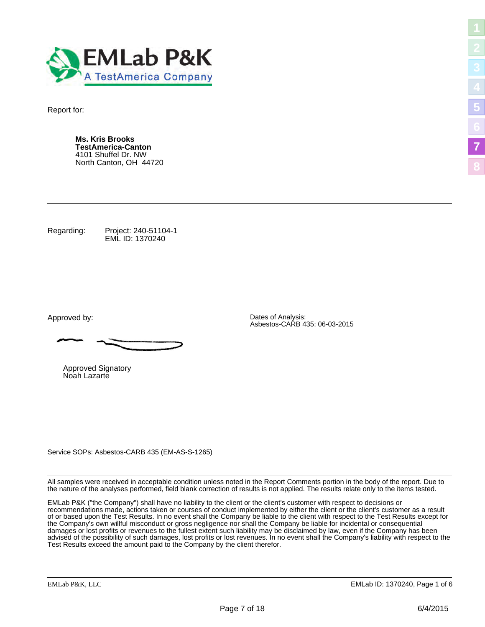<span id="page-6-0"></span>

Report for:

**Ms. Kris Brooks TestAmerica-Canton** 4101 Shuffel Dr. NW North Canton, OH 44720

Regarding: Project: 240-51104-1 EML ID: 1370240

Approved by: Dates of Analysis:

Approved Signatory Noah Lazarte

Service SOPs: Asbestos-CARB 435 (EM-AS-S-1265)

<span id="page-6-2"></span>All samples were received in acceptable condition unless noted in the Report Comments portion in the body of the report. Due to the nature of the analyses performed, field blank correction of results is not applied. The results relate only to the items tested.

Asbestos-CARB 435: 06-03-2015

EMLab P&K ("the Company") shall have no liability to the client or the client's customer with respect to decisions or recommendations made, actions taken or courses of conduct implemented by either the client or the client's customer as a result of or based upon the Test Results. In no event shall the Company be liable to the client with respect to the Test Results except for the Company's own willful misconduct or gross negligence nor shall the Company be liable for incidental or consequential damages or lost profits or revenues to the fullest extent such liability may be disclaimed by law, even if the Company has been advised of the possibility of such damages, lost profits or lost revenues. In no event shall the Company's liability with respect to the Test Results exceed the amount paid to the Company by the client therefor.

<span id="page-6-1"></span>**[5](#page-4-0)**

**[7](#page-6-0)**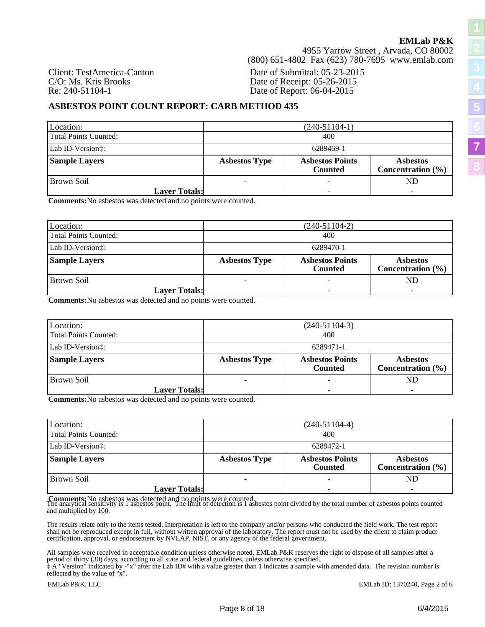4955 Yarrow Street , Arvada, CO 80002 (800) 651-4802 Fax (623) 780-7695 www.emlab.com

Client: TestAmerica-Canton C/O: Ms. Kris Brooks Re: 240-51104-1

Date of Submittal: 05-23-2015 Date of Receipt: 05-26-2015 Date of Report: 06-04-2015

### **ASBESTOS POINT COUNT REPORT: CARB METHOD 435**

| Location:                     | $(240-51104-1)$      |                                          |                                          |
|-------------------------------|----------------------|------------------------------------------|------------------------------------------|
| Total Points Counted:         | 400                  |                                          |                                          |
| Lab ID-Version <sup>†</sup> : | 6289469-1            |                                          |                                          |
| <b>Sample Layers</b>          | <b>Asbestos Type</b> | <b>Asbestos Points</b><br><b>Counted</b> | <b>Asbestos</b><br>Concentration $(\% )$ |
| l Brown Soil                  | ۰                    |                                          | ND                                       |
| <b>Layer Totals:</b>          |                      |                                          |                                          |

**Comments:**No asbestos was detected and no points were counted.

| Location:             | $(240-51104-2)$                                                                                              |  |    |
|-----------------------|--------------------------------------------------------------------------------------------------------------|--|----|
| Total Points Counted: | 400                                                                                                          |  |    |
| Lab ID-Version:       | 6289470-1                                                                                                    |  |    |
| <b>Sample Layers</b>  | <b>Asbestos Points</b><br><b>Asbestos Type</b><br><b>Asbestos</b><br>Concentration $(\% )$<br><b>Counted</b> |  |    |
| Brown Soil            |                                                                                                              |  | ND |
| <b>Layer Totals:</b>  |                                                                                                              |  |    |

**Comments:**No asbestos was detected and no points were counted.

| Location:             | $(240-51104-3)$                                                                                              |  |    |
|-----------------------|--------------------------------------------------------------------------------------------------------------|--|----|
| Total Points Counted: | 400                                                                                                          |  |    |
| Lab ID-Version:       | 6289471-1                                                                                                    |  |    |
| <b>Sample Layers</b>  | <b>Asbestos Points</b><br><b>Asbestos Type</b><br><b>Asbestos</b><br>Concentration $(\% )$<br><b>Counted</b> |  |    |
| Brown Soil            |                                                                                                              |  | ND |
| <b>Layer Totals:</b>  |                                                                                                              |  |    |

**Comments:**No asbestos was detected and no points were counted.

| Location:                    | $(240-51104-4)$      |                                          |                                          |
|------------------------------|----------------------|------------------------------------------|------------------------------------------|
| <b>Total Points Counted:</b> | 400                  |                                          |                                          |
| Lab ID-Version:              | 6289472-1            |                                          |                                          |
| <b>Sample Layers</b>         | <b>Asbestos Type</b> | <b>Asbestos Points</b><br><b>Counted</b> | <b>Asbestos</b><br>Concentration $(\% )$ |
| Brown Soil                   |                      |                                          | ND                                       |
| <b>Layer Totals:</b>         |                      |                                          |                                          |

**Comments:** No asbestos was detected and no points were counted.<br>The analytical sensitivity is 1 asbestos point. The limit of detection is 1 asbestos point divided by the total number of asbestos points counted and multiplied by 100.

The results relate only to the items tested. Interpretation is left to the company and/or persons who conducted the field work. The test report shall not be reproduced except in full, without written approval of the laboratory. The report must not be used by the client to claim product certification, approval, or endorsement by NVLAP, NIST, or any agency of the federal government.

All samples were received in acceptable condition unless otherwise noted. EMLab P&K reserves the right to dispose of all samples after a period of thirty (30) days, according to all state and federal guidelines, unless otherwise specified.

‡ A "Version" indicated by -"x" after the Lab ID# with a value greater than 1 indicates a sample with amended data. The revision number is reflected by the value of "x".

EMLab P&K, LLC EMLab ID: 1370240, Page 2 of 6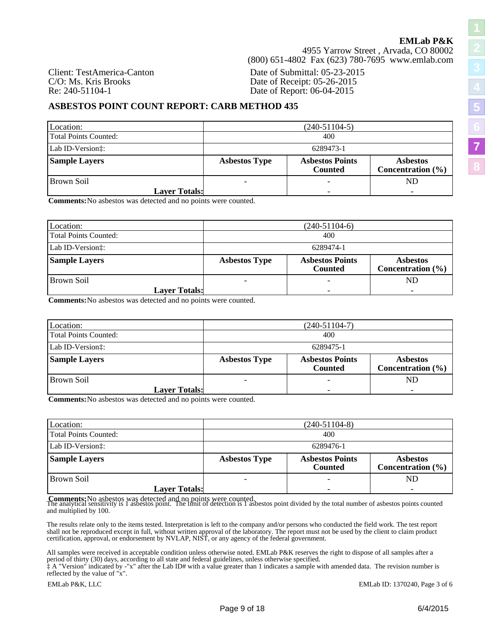4955 Yarrow Street , Arvada, CO 80002 (800) 651-4802 Fax (623) 780-7695 www.emlab.com

Client: TestAmerica-Canton Date of Submittal: 05-23-2015 C/O: Ms. Kris Brooks Date of Receipt: 05-26-2015<br>
Re: 240-51104-1 Date of Report: 06-04-2015 Date of Report: 06-04-2015

### **ASBESTOS POINT COUNT REPORT: CARB METHOD 435**

| Location:                     | $(240-51104-5)$      |                                          |                                          |
|-------------------------------|----------------------|------------------------------------------|------------------------------------------|
| Total Points Counted:         | 400                  |                                          |                                          |
| Lab ID-Version <sup>†</sup> : | 6289473-1            |                                          |                                          |
| <b>Sample Layers</b>          | <b>Asbestos Type</b> | <b>Asbestos Points</b><br><b>Counted</b> | <b>Asbestos</b><br>Concentration $(\% )$ |
| Brown Soil                    |                      |                                          | ND                                       |
| <b>Layer Totals:</b>          |                      |                                          |                                          |

**Comments:**No asbestos was detected and no points were counted.

| Location:             | $(240-51104-6)$                                                                                              |  |    |
|-----------------------|--------------------------------------------------------------------------------------------------------------|--|----|
| Total Points Counted: | 400                                                                                                          |  |    |
| Lab ID-Version:       | 6289474-1                                                                                                    |  |    |
| <b>Sample Layers</b>  | <b>Asbestos Points</b><br><b>Asbestos Type</b><br><b>Asbestos</b><br>Concentration $(\% )$<br><b>Counted</b> |  |    |
| l Brown Soil          |                                                                                                              |  | ND |
| <b>Layer Totals:</b>  |                                                                                                              |  |    |

**Comments:**No asbestos was detected and no points were counted.

| Location:             | $(240-51104-7)$                                                                                              |  |    |
|-----------------------|--------------------------------------------------------------------------------------------------------------|--|----|
| Total Points Counted: | 400                                                                                                          |  |    |
| Lab ID-Version:       | 6289475-1                                                                                                    |  |    |
| <b>Sample Layers</b>  | <b>Asbestos Points</b><br><b>Asbestos Type</b><br><b>Asbestos</b><br>Concentration $(\% )$<br><b>Counted</b> |  |    |
| Brown Soil            |                                                                                                              |  | ND |
| <b>Layer Totals:</b>  |                                                                                                              |  |    |

**Comments:**No asbestos was detected and no points were counted.

| Location:             | $(240-51104-8)$      |                                          |                                          |
|-----------------------|----------------------|------------------------------------------|------------------------------------------|
| Total Points Counted: | 400                  |                                          |                                          |
| Lab ID-Version:       | 6289476-1            |                                          |                                          |
| <b>Sample Layers</b>  | <b>Asbestos Type</b> | <b>Asbestos Points</b><br><b>Counted</b> | <b>Asbestos</b><br>Concentration $(\% )$ |
| Brown Soil            |                      |                                          | ND                                       |
| <b>Layer Totals:</b>  |                      |                                          |                                          |

**Comments:** No asbestos was detected and no points were counted.<br>The analytical sensitivity is 1 asbestos point. The limit of detection is 1 asbestos point divided by the total number of asbestos points counted and multiplied by 100.

The results relate only to the items tested. Interpretation is left to the company and/or persons who conducted the field work. The test report shall not be reproduced except in full, without written approval of the laboratory. The report must not be used by the client to claim product certification, approval, or endorsement by NVLAP, NIST, or any agency of the federal government.

All samples were received in acceptable condition unless otherwise noted. EMLab P&K reserves the right to dispose of all samples after a period of thirty (30) days, according to all state and federal guidelines, unless otherwise specified.

‡ A "Version" indicated by -"x" after the Lab ID# with a value greater than 1 indicates a sample with amended data. The revision number is reflected by the value of "x".

EMLab P&K, LLC EMLab ID: 1370240, Page 3 of 6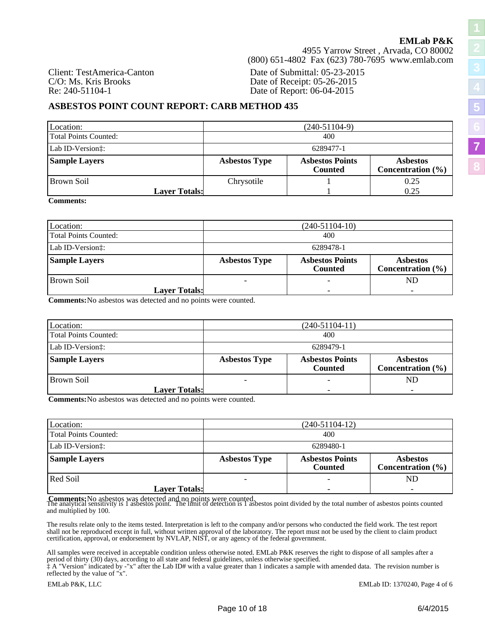**[5](#page-4-0)**

**[7](#page-6-0)**

**[8](#page-12-0)**

4955 Yarrow Street , Arvada, CO 80002 (800) 651-4802 Fax (623) 780-7695 www.emlab.com

Client: TestAmerica-Canton Date of Submittal: 05-23-2015 C/O: Ms. Kris Brooks Date of Receipt: 05-26-2015<br>
Re: 240-51104-1 Date of Report: 06-04-2015 Date of Report: 06-04-2015

### **ASBESTOS POINT COUNT REPORT: CARB METHOD 435**

| Location:                     |                      | $(240-51104-9)$                          |                                          |  |  |  |  |  |  |
|-------------------------------|----------------------|------------------------------------------|------------------------------------------|--|--|--|--|--|--|
| Total Points Counted:         |                      | 400                                      |                                          |  |  |  |  |  |  |
| Lab ID-Version <sup>†</sup> : |                      | 6289477-1                                |                                          |  |  |  |  |  |  |
| <b>Sample Layers</b>          | <b>Asbestos Type</b> | <b>Asbestos Points</b><br><b>Counted</b> | <b>Asbestos</b><br>Concentration $(\% )$ |  |  |  |  |  |  |
| Brown Soil                    | Chrysotile           |                                          | 0.25                                     |  |  |  |  |  |  |
| <b>Layer Totals:</b>          |                      |                                          | 0.25                                     |  |  |  |  |  |  |

**Comments:**

| Location:             | $(240-51104-10)$     |                                          |                                          |  |  |  |  |  |
|-----------------------|----------------------|------------------------------------------|------------------------------------------|--|--|--|--|--|
| Total Points Counted: |                      | 400                                      |                                          |  |  |  |  |  |
| Lab ID-Version:       |                      | 6289478-1                                |                                          |  |  |  |  |  |
| <b>Sample Layers</b>  | <b>Asbestos Type</b> | <b>Asbestos Points</b><br><b>Counted</b> | <b>Asbestos</b><br>Concentration $(\% )$ |  |  |  |  |  |
| Brown Soil            |                      |                                          | ND                                       |  |  |  |  |  |
| <b>Layer Totals:</b>  |                      |                                          | $\overline{\phantom{0}}$                 |  |  |  |  |  |

**Comments:**No asbestos was detected and no points were counted.

| Location:             |                      | $(240-51104-11)$                         |                                          |  |  |  |  |
|-----------------------|----------------------|------------------------------------------|------------------------------------------|--|--|--|--|
| Total Points Counted: |                      | 400                                      |                                          |  |  |  |  |
| Lab ID-Version:       |                      | 6289479-1                                |                                          |  |  |  |  |
| <b>Sample Layers</b>  | <b>Asbestos Type</b> | <b>Asbestos Points</b><br><b>Counted</b> | <b>Asbestos</b><br>Concentration $(\% )$ |  |  |  |  |
| Brown Soil            |                      |                                          | ND                                       |  |  |  |  |
| <b>Layer Totals:</b>  |                      |                                          |                                          |  |  |  |  |

**Comments:**No asbestos was detected and no points were counted.

| Location:             | $(240-51104-12)$     |                                          |                                          |  |  |  |  |  |  |
|-----------------------|----------------------|------------------------------------------|------------------------------------------|--|--|--|--|--|--|
| Total Points Counted: |                      | 400                                      |                                          |  |  |  |  |  |  |
| Lab ID-Version:       |                      | 6289480-1                                |                                          |  |  |  |  |  |  |
| <b>Sample Layers</b>  | <b>Asbestos Type</b> | <b>Asbestos Points</b><br><b>Counted</b> | <b>Asbestos</b><br>Concentration $(\% )$ |  |  |  |  |  |  |
| Red Soil              |                      |                                          | ND                                       |  |  |  |  |  |  |
| <b>Layer Totals:</b>  |                      |                                          |                                          |  |  |  |  |  |  |

**Comments:** No asbestos was detected and no points were counted.<br>The analytical sensitivity is 1 asbestos point. The limit of detection is 1 asbestos point divided by the total number of asbestos points counted and multiplied by 100.

The results relate only to the items tested. Interpretation is left to the company and/or persons who conducted the field work. The test report shall not be reproduced except in full, without written approval of the laboratory. The report must not be used by the client to claim product certification, approval, or endorsement by NVLAP, NIST, or any agency of the federal government.

All samples were received in acceptable condition unless otherwise noted. EMLab P&K reserves the right to dispose of all samples after a period of thirty (30) days, according to all state and federal guidelines, unless otherwise specified.

‡ A "Version" indicated by -"x" after the Lab ID# with a value greater than 1 indicates a sample with amended data. The revision number is reflected by the value of "x".

EMLab P&K, LLC EMLab ID: 1370240, Page 4 of 6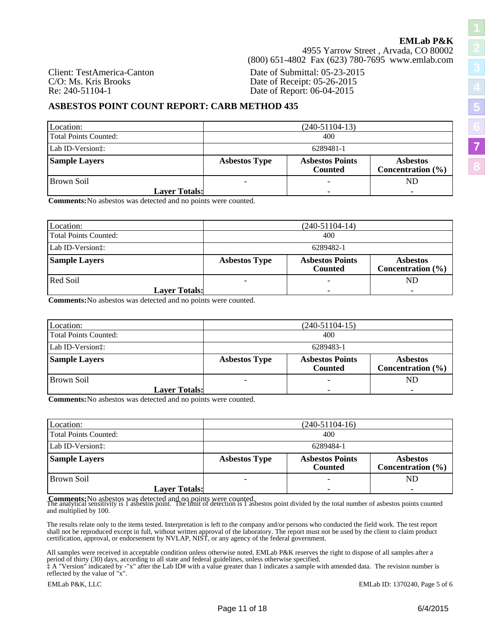**[5](#page-4-0)**

**[7](#page-6-0)**

**[8](#page-12-0)**

4955 Yarrow Street , Arvada, CO 80002 (800) 651-4802 Fax (623) 780-7695 www.emlab.com

Client: TestAmerica-Canton Date of Submittal: 05-23-2015 C/O: Ms. Kris Brooks Date of Receipt: 05-26-2015<br>
Re: 240-51104-1 Date of Report: 06-04-2015 Date of Report: 06-04-2015

### **ASBESTOS POINT COUNT REPORT: CARB METHOD 435**

| Location:                     |                      | $(240-51104-13)$                         |                                          |  |  |  |  |  |  |
|-------------------------------|----------------------|------------------------------------------|------------------------------------------|--|--|--|--|--|--|
| Total Points Counted:         |                      | 400                                      |                                          |  |  |  |  |  |  |
| Lab ID-Version <sup>†</sup> : |                      | 6289481-1                                |                                          |  |  |  |  |  |  |
| <b>Sample Layers</b>          | <b>Asbestos Type</b> | <b>Asbestos Points</b><br><b>Counted</b> | <b>Asbestos</b><br>Concentration $(\% )$ |  |  |  |  |  |  |
| l Brown Soil                  |                      |                                          |                                          |  |  |  |  |  |  |
| <b>Layer Totals:</b>          |                      |                                          |                                          |  |  |  |  |  |  |

**Comments:**No asbestos was detected and no points were counted.

| Location:             | $(240-51104-14)$     |                                          |                                          |  |  |  |  |  |  |
|-----------------------|----------------------|------------------------------------------|------------------------------------------|--|--|--|--|--|--|
| Total Points Counted: |                      | 400                                      |                                          |  |  |  |  |  |  |
| Lab ID-Version:       |                      | 6289482-1                                |                                          |  |  |  |  |  |  |
| <b>Sample Layers</b>  | <b>Asbestos Type</b> | <b>Asbestos Points</b><br><b>Counted</b> | <b>Asbestos</b><br>Concentration $(\% )$ |  |  |  |  |  |  |
| Red Soil              |                      |                                          | ND                                       |  |  |  |  |  |  |
| <b>Layer Totals:</b>  |                      |                                          |                                          |  |  |  |  |  |  |

**Comments:**No asbestos was detected and no points were counted.

| Location:             | $(240-51104-15)$                                                               |                       |  |  |  |  |  |
|-----------------------|--------------------------------------------------------------------------------|-----------------------|--|--|--|--|--|
| Total Points Counted: | 400                                                                            |                       |  |  |  |  |  |
| Lab ID-Version:       | 6289483-1<br><b>Asbestos Points</b><br><b>Asbestos Type</b><br><b>Asbestos</b> |                       |  |  |  |  |  |
| <b>Sample Layers</b>  | <b>Counted</b>                                                                 | Concentration $(\% )$ |  |  |  |  |  |
| Brown Soil            |                                                                                | ND                    |  |  |  |  |  |
| <b>Layer Totals:</b>  |                                                                                |                       |  |  |  |  |  |

**Comments:**No asbestos was detected and no points were counted.

| Location:                    | $(240-51104-16)$     |                                          |                                          |  |  |  |  |  |
|------------------------------|----------------------|------------------------------------------|------------------------------------------|--|--|--|--|--|
| <b>Total Points Counted:</b> |                      | 400                                      |                                          |  |  |  |  |  |
| Lab ID-Version:              |                      | 6289484-1                                |                                          |  |  |  |  |  |
| <b>Sample Layers</b>         | <b>Asbestos Type</b> | <b>Asbestos Points</b><br><b>Counted</b> | <b>Asbestos</b><br>Concentration $(\% )$ |  |  |  |  |  |
| Brown Soil                   |                      |                                          | ND                                       |  |  |  |  |  |
| <b>Layer Totals:</b>         |                      |                                          |                                          |  |  |  |  |  |

**Comments:** No asbestos was detected and no points were counted.<br>The analytical sensitivity is 1 asbestos point. The limit of detection is 1 asbestos point divided by the total number of asbestos points counted and multiplied by 100.

The results relate only to the items tested. Interpretation is left to the company and/or persons who conducted the field work. The test report shall not be reproduced except in full, without written approval of the laboratory. The report must not be used by the client to claim product certification, approval, or endorsement by NVLAP, NIST, or any agency of the federal government.

All samples were received in acceptable condition unless otherwise noted. EMLab P&K reserves the right to dispose of all samples after a period of thirty (30) days, according to all state and federal guidelines, unless otherwise specified.

‡ A "Version" indicated by -"x" after the Lab ID# with a value greater than 1 indicates a sample with amended data. The revision number is reflected by the value of "x".

EMLab P&K, LLC EMLab ID: 1370240, Page 5 of 6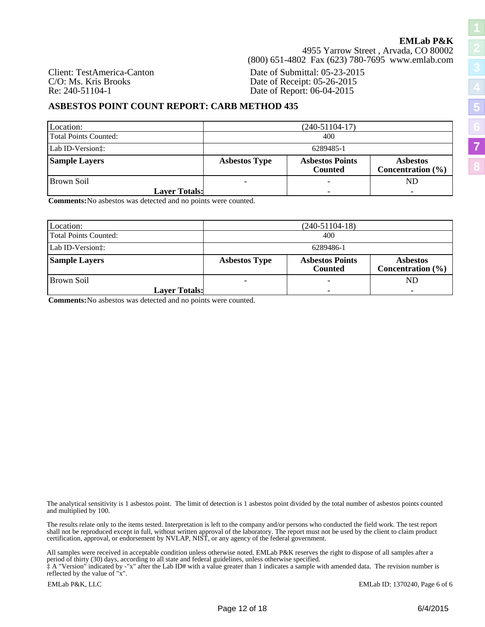4955 Yarrow Street , Arvada, CO 80002 (800) 651-4802 Fax (623) 780-7695 www.emlab.com

Client: TestAmerica-Canton Date of Submittal: 05-23-2015 C/O: Ms. Kris Brooks Date of Receipt: 05-26-2015<br>
Re: 240-51104-1 Date of Report: 06-04-2015 Date of Report: 06-04-2015

### **ASBESTOS POINT COUNT REPORT: CARB METHOD 435**

| Location:                     | $(240-51104-17)$     |                                          |                                          |  |  |  |  |  |  |
|-------------------------------|----------------------|------------------------------------------|------------------------------------------|--|--|--|--|--|--|
| <b>Total Points Counted:</b>  |                      | 400                                      |                                          |  |  |  |  |  |  |
| Lab ID-Version <sup>†</sup> : |                      | 6289485-1                                |                                          |  |  |  |  |  |  |
| <b>Sample Layers</b>          | <b>Asbestos Type</b> | <b>Asbestos Points</b><br><b>Counted</b> | <b>Asbestos</b><br>Concentration $(\% )$ |  |  |  |  |  |  |
| Brown Soil                    |                      |                                          | ND                                       |  |  |  |  |  |  |
| <b>Layer Totals:</b>          |                      |                                          |                                          |  |  |  |  |  |  |

**Comments:**No asbestos was detected and no points were counted.

| Location:             |                          | $(240-51104-18)$                         |                                          |  |  |  |  |  |  |  |
|-----------------------|--------------------------|------------------------------------------|------------------------------------------|--|--|--|--|--|--|--|
| Total Points Counted: |                          | 400                                      |                                          |  |  |  |  |  |  |  |
| Lab ID-Version:       |                          | 6289486-1                                |                                          |  |  |  |  |  |  |  |
| <b>Sample Layers</b>  | <b>Asbestos Type</b>     | <b>Asbestos Points</b><br><b>Counted</b> | <b>Asbestos</b><br>Concentration $(\% )$ |  |  |  |  |  |  |  |
| Brown Soil            | $\overline{\phantom{0}}$ |                                          | ND                                       |  |  |  |  |  |  |  |
| <b>Layer Totals:</b>  |                          |                                          | $\overline{\phantom{0}}$                 |  |  |  |  |  |  |  |

**Comments:**No asbestos was detected and no points were counted.

The analytical sensitivity is 1 asbestos point. The limit of detection is 1 asbestos point divided by the total number of asbestos points counted and multiplied by 100.

The results relate only to the items tested. Interpretation is left to the company and/or persons who conducted the field work. The test report shall not be reproduced except in full, without written approval of the laboratory. The report must not be used by the client to claim product certification, approval, or endorsement by NVLAP, NIST, or any agency of the federal government.

All samples were received in acceptable condition unless otherwise noted. EMLab P&K reserves the right to dispose of all samples after a period of thirty (30) days, according to all state and federal guidelines, unless otherwise specified.

‡ A "Version" indicated by -"x" after the Lab ID# with a value greater than 1 indicates a sample with amended data. The revision number is reflected by the value of "x".

EMLab P&K, LLC EMLab ID: 1370240, Page 6 of 6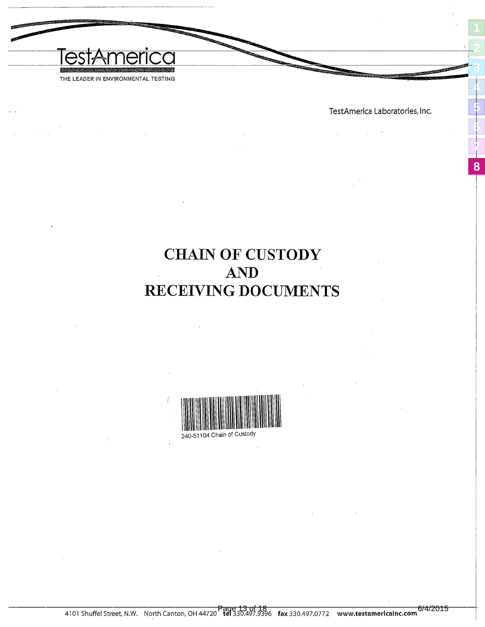<span id="page-12-0"></span>

TestAmerica Laboratories, Inc.

<span id="page-12-1"></span>**[2](#page-1-0)**

**[3](#page-2-0)**

**[4](#page-3-0)**

**[5](#page-4-0)**

**[6](#page-5-0)**

**[7](#page-6-0)**

**[8](#page-12-0)**

## **CHAIN OF CUSTODY** AND RECEIVING DOCUMENTS

<span id="page-12-2"></span>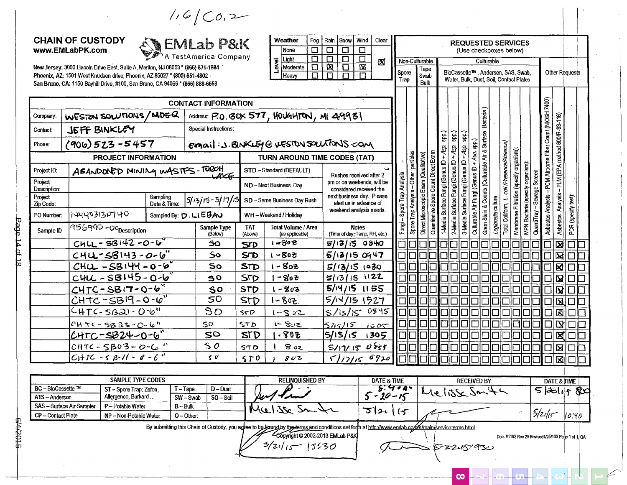$1.6/C0.2$ 

### **CHAIN OF CUSTODY** www.EMLabPK.com



New Jersey: 3000 Lincoln Drive East, Suite A, Marlton, NJ 08053 \* (866) 871-1984 Phoenix, AZ: 1501 West Knudsen drive, Phoenix, AZ 85027 \* (800) 651-4802 San Bruno, CA: 1150 Bayhill Drive #100 San Bru

|    | Weather  | Fog |   | Rain Snow | Wind          | Clear        |                |      |
|----|----------|-----|---|-----------|---------------|--------------|----------------|------|
|    | None     |     |   |           |               |              |                |      |
| Ø  | Light    |     |   |           |               | ⊠            | Non-Culturable |      |
| Z, | Moderate |     | x |           | X             |              |                |      |
|    | Heaw     |     |   |           | Spore<br>Trap | Tape<br>Swab |                |      |
|    |          |     |   |           |               |              |                | Bulk |

|                         | Phoenix, AZ: 1501 West Knudsen drive, Phoenix, AZ 85027 * (800) 651-4802<br>San Bruno, CA: 1150 Bayhill Drive, #100, San Bruno, CA 94066 * (866) 888-6653 |                          |                            |                       | $\Box$<br>Heavy                                 | $\overline{\Box}$<br>$\boxed{\Box}$<br>$\Box$         | spore<br>Trap |               | Swab<br>Bulk                                                                 |                                 |                                 |                                 |                                                                      | BloCassette "", Andersen, SAS, Swab,<br>Water, Bulk, Dust, Soil, Contact Plates |                         |                     |                                           |                                         |                               | <b>Uther Requests</b> |  |
|-------------------------|-----------------------------------------------------------------------------------------------------------------------------------------------------------|--------------------------|----------------------------|-----------------------|-------------------------------------------------|-------------------------------------------------------|---------------|---------------|------------------------------------------------------------------------------|---------------------------------|---------------------------------|---------------------------------|----------------------------------------------------------------------|---------------------------------------------------------------------------------|-------------------------|---------------------|-------------------------------------------|-----------------------------------------|-------------------------------|-----------------------|--|
|                         |                                                                                                                                                           |                          | <b>CONTACT INFORMATION</b> |                       |                                                 |                                                       |               |               |                                                                              |                                 |                                 |                                 |                                                                      |                                                                                 |                         |                     |                                           |                                         |                               |                       |  |
| Company:                | WESTON SOLUTIONS/MDEQ                                                                                                                                     |                          |                            |                       | Address: P.O. BOX 577, HOUGHTON, MI 49931       |                                                       |               |               |                                                                              |                                 |                                 |                                 | Bacteria)                                                            |                                                                                 |                         |                     |                                           |                                         |                               |                       |  |
| <b>Contact:</b>         | <b>JEFF BINKLEY</b>                                                                                                                                       |                          | Special Instructions:      |                       |                                                 |                                                       |               |               |                                                                              |                                 |                                 |                                 |                                                                      |                                                                                 |                         |                     |                                           |                                         |                               |                       |  |
| Phone:                  | $(900)$ 523 - 5457                                                                                                                                        |                          |                            |                       | email: J. BINKLEY @ WESTON SOLUTONS COM         |                                                       |               |               |                                                                              | spp.)                           | çads                            | spp.)                           |                                                                      |                                                                                 |                         |                     |                                           | - PCM Airborne Fiber Count (NIOSH 7400) | PLM (EPA method 600/R-93-116) |                       |  |
|                         | <b>PROJECT INFORMATION</b>                                                                                                                                |                          |                            |                       | TURN AROUND TIME CODES (TAT)                    |                                                       |               | particles     |                                                                              |                                 | + Asp.                          | + Asp.                          | +Asp. spp.)                                                          |                                                                                 |                         |                     |                                           |                                         |                               |                       |  |
| Project ID:             | ABANDONED MINING WASTES-TORCH                                                                                                                             |                          | <b>UAKE</b>                |                       | STD -- Standard (DEFAULT)                       | Rushes received after 2                               |               |               |                                                                              |                                 |                                 |                                 |                                                                      |                                                                                 |                         | (specify organism): |                                           |                                         |                               |                       |  |
| Project<br>Description: |                                                                                                                                                           |                          |                            |                       | ND-Next Business Day                            | pm or on weekends, will be<br>considered received the | Anaiysis      | Other         |                                                                              |                                 |                                 |                                 |                                                                      |                                                                                 | coli (Presence/Absence) |                     | Screen                                    |                                         |                               |                       |  |
| Project<br>Zip Code:    |                                                                                                                                                           | Sampling<br>Date & Time: |                            |                       | $ 5/13/15-5/17/15 $ SD - Same Business Day Rush | next business day. Please<br>alert us in advance of   | Spore liap    | Trap Analysis | Quantitative Spore Count Direct Exam<br>Direct Microscopic Exam (Qualitaive) | 1-Media Surface Fungi (Genus ID | 2-Media Surface Fungi (Genus ID | 3-Media Surface Fungi (Genus ID | & Counts (Culturable Air & Surface<br>Culturable Air Fungi (Genus ID |                                                                                 |                         | Membrane Filtration | MPN Bacteria (specify organism):<br>ewage |                                         | Analysis                      | test):                |  |
| PO Number.              | 144403130740                                                                                                                                              |                          | Sampled By: D. LIEBAU      |                       | WH-Weekend / Holiday                            | weekend analysis needs.                               |               |               |                                                                              |                                 |                                 |                                 | Gram Stain                                                           | Legionella culture                                                              | Total Coliform,         |                     |                                           | Asbestos Analysis                       |                               | (specify)             |  |
| Sample ID               | 956990 - Opescription                                                                                                                                     |                          | Sample Type<br>(Below)     | <b>TAT</b><br>(Above) | <b>Total Volume / Area</b><br>(as applicable)   | <b>Notes</b><br>(Time of day; Temp, RH, etc.)         | Fungi         | Spore         |                                                                              |                                 |                                 |                                 |                                                                      |                                                                                 |                         |                     | QuantiTray                                |                                         | Asbestos                      | PCR                   |  |
|                         | $CHU - SB142 - 0 - 6$                                                                                                                                     |                          | 50                         | STD                   | $1 - 802$                                       | $5/13/15$ 0840                                        |               |               |                                                                              |                                 |                                 |                                 |                                                                      |                                                                                 |                         |                     |                                           |                                         | ⊠                             |                       |  |
|                         | $CHU-SB143-0-6$                                                                                                                                           |                          | So                         | SFD                   | ーちゅう                                            | $5/13/15$ 0947                                        |               |               |                                                                              |                                 |                                 |                                 |                                                                      |                                                                                 |                         |                     |                                           |                                         | $\mathbf{Z}$                  |                       |  |
|                         | $CHUL - SB 144 - 0 - 6$                                                                                                                                   |                          | So                         | STD                   | $1 - 802$                                       | 5/13/151030                                           |               |               |                                                                              |                                 |                                 |                                 |                                                                      |                                                                                 |                         |                     |                                           | $\Box$                                  | 図                             |                       |  |
|                         | $CHU - SB145 - 0-6$                                                                                                                                       |                          | 30                         | <b>STD</b>            | $-80z$                                          | $5/13/15$ 1122                                        |               |               |                                                                              |                                 |                                 |                                 |                                                                      |                                                                                 |                         |                     |                                           |                                         | $\mathbf{Z}$                  |                       |  |
|                         | $CHTC-SB17-0-6$                                                                                                                                           |                          | $\mathbf{s}$ o             | <b>STD</b>            | -803                                            | $5/14/15$ 1155                                        |               |               |                                                                              |                                 |                                 |                                 |                                                                      |                                                                                 |                         |                     |                                           |                                         | $\overline{\mathbf{M}}$       |                       |  |
|                         | $C$ HTC-SB19-0- $0^{\prime\prime}$                                                                                                                        |                          | 50                         | STD                   | $1 - 802$                                       | 5/N/151527                                            |               |               |                                                                              |                                 |                                 |                                 |                                                                      |                                                                                 |                         |                     |                                           |                                         | 図                             |                       |  |
|                         | CHTC-SB21-0-6"                                                                                                                                            |                          | SO                         | STD                   | $1 - 352$                                       | 0845<br>S/15/15                                       |               |               |                                                                              |                                 |                                 |                                 |                                                                      |                                                                                 |                         |                     |                                           |                                         | 闵                             |                       |  |
|                         | $CHTC-SBQ3-0.6$                                                                                                                                           |                          | 50                         | 5TQ                   | i- 802                                          | 51515<br>1005                                         |               |               |                                                                              |                                 |                                 |                                 |                                                                      |                                                                                 |                         |                     |                                           |                                         | Ӯ                             |                       |  |
|                         | <u>CHTC-SB24-</u> 0-6"                                                                                                                                    |                          | 50                         | <b>STD</b>            | $-805$                                          | 5/15/15<br>1305                                       |               |               |                                                                              |                                 |                                 |                                 |                                                                      |                                                                                 |                         |                     |                                           |                                         | X                             |                       |  |
|                         | $CHTC - SBO3 - O-C$                                                                                                                                       |                          | 50                         | らすり                   | 802                                             | $5/17/150$ 855                                        |               |               |                                                                              |                                 |                                 |                                 |                                                                      |                                                                                 |                         |                     |                                           | □                                       | ⊠                             |                       |  |
|                         | $CHIC - SB-I - C - C''$                                                                                                                                   |                          | $\zeta$                    | 570                   | 802                                             | 6920<br>5/17/15                                       |               |               |                                                                              |                                 |                                 |                                 |                                                                      |                                                                                 |                         |                     |                                           |                                         | 図                             |                       |  |

|                                  | <b>SAMPLE TYPE CODES</b> |            |            | <b>RELINOUISHED BY</b>                                                                                                                              | <b>DATE &amp; TIME</b> | <b>RECEIVED BY</b> | <b>DATE &amp; TIME</b> |       |
|----------------------------------|--------------------------|------------|------------|-----------------------------------------------------------------------------------------------------------------------------------------------------|------------------------|--------------------|------------------------|-------|
| BC - BioCassette ™               | ST-Spore Trap: Zefon.    | Г — Таре   | D - Dust   |                                                                                                                                                     | 400                    | ∿ີ                 | أنكثرا                 | &ිර   |
| A1S - Anderson                   | Allergenco, Burkard      | SW-Swab    | $SO-S$ oil | سدمالا                                                                                                                                              | IO -                   |                    |                        |       |
| <b>SAS – Surface Air Sampler</b> | P - Potable Water        | B – Bulk   |            | - 37.<br>MU'                                                                                                                                        |                        |                    |                        |       |
| CP - Contact Plate               | NP - Non-Potable Water   | $O-Other:$ |            |                                                                                                                                                     |                        |                    | $5/2$ des              | 10.YO |
|                                  |                          |            |            | By submitting this Chain of Custody, you agree to be bound by the terms and conditions set forth at http://www.emlab.com/s/s/main/sep/iceterms html |                        |                    |                        |       |

Copyright @ 2002-2013 EMLab P&K  $5/21/s - 13530$ 

5-22.15-930

 $\infty$ 

Doc. #1192 Rev 29 Revised4/25/133 Page 1 of 1, QA

**REQUESTED SERVICES** 

(Use checkboxes below)

Culturable

BioCassette™, Andersen, SAS, Swab,

Other Requests

**SA/2015**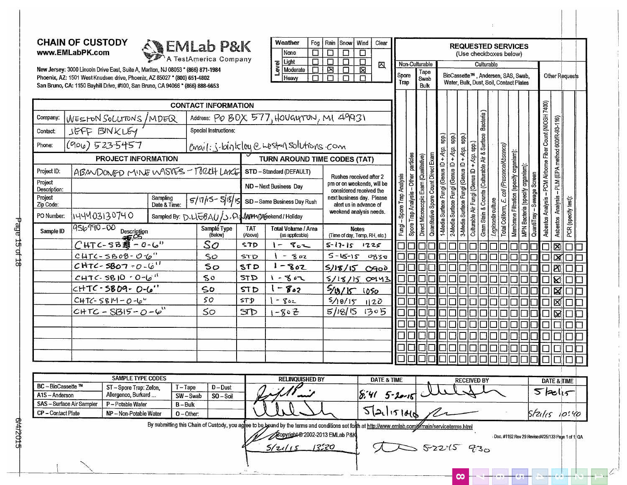### **CHAIN OF CUSTODY** www.EMLabPK.com

Company:

Contact:

Phone:

Project ID:

Description: Project

Zip Code:

PO Number.

Sample ID

BC - BioCassette ™

CP - Contact Plate

SAS - Surface Air Sampler

A1S - Anderson

Project

WESTON SOLUTONS/MDEQ

**PROJECT INFORMATION** 

Description

 $CHTC-SBZ - O-C''$ 

 $C$ HTC-SB08-0-6"

 $CHTC - SBO7 - 0.6$ 

 $CHTC-SB10.00010$ 

 $CHTC - SB$   $O9 - O-6$ "

 $CHTC - SBB5 - O - 6$ 

**SAMPLE TYPE CODES** 

ST-Spore Trap: Zefon.

NP-Non-Potable Water

Allergenco, Burkard ...

P-Potable Water

 $CHTC-SBIY-O-U''$ 

ABANDONED MINE WASIFS - TORLH LAKE

Sampling

Date & Time:

JEFF BINKLEY

 $(900)$  523.5457

h44403130740

956990-00



**CONTACT INFORMATION** 

 $T-Tape$ 

 $B - B$ ulk

 $O-O$ ther:

 $SW - Swab$ 

Sampled By: D.UGBAU/J.P

| Weather        |          | Fog | Rain Snow Wind |   | Clear |
|----------------|----------|-----|----------------|---|-------|
| None           |          |     |                |   |       |
|                | Light    |     |                |   | Σ     |
| <b>D</b><br>Na | Moderate |     |                | × |       |
|                | Heaw     |     |                |   |       |

New Jersey: 3000 Lincoln Drive East, Suite A, Marlton, NJ 08053 \* (866) 871-1984 Phoenix, AZ: 1501 West Knudsen drive, Phoenix, AZ 85027 \* (800) 651-4802 San Bruno, CA: 1150 Bayhill Drive, #100, San Bruno, CA 94066 \* (866) 888-6653

| ILab P&K                                            |                       | Weather<br>Fog<br>口<br>None                   | Rain<br>Snow<br>$\Box$<br>□                           | Wind<br>Clear<br>口      |               |                                       |                                       |                                      |                                        |                                        |                                        |                                       | <b>REQUESTED SERVICES</b><br>(Use checkboxes below)                           |                                                                  |                                         |                                  |            |                                                           |                                                   |                       |  |
|-----------------------------------------------------|-----------------------|-----------------------------------------------|-------------------------------------------------------|-------------------------|---------------|---------------------------------------|---------------------------------------|--------------------------------------|----------------------------------------|----------------------------------------|----------------------------------------|---------------------------------------|-------------------------------------------------------------------------------|------------------------------------------------------------------|-----------------------------------------|----------------------------------|------------|-----------------------------------------------------------|---------------------------------------------------|-----------------------|--|
| America Company                                     |                       | $\Box$<br>Light                               | $\Box$<br>$\Box$                                      | $\Box$<br>囚             |               | Non-Culturable                        |                                       |                                      |                                        |                                        |                                        |                                       | Culturable                                                                    |                                                                  |                                         |                                  |            |                                                           |                                                   |                       |  |
| (866) 871-1984<br>651-4802<br>866) 888-6653         |                       | Level<br>Moderate<br>П<br>Heaw<br>П           | ⊠<br>П<br>п<br>П                                      | 図<br>П                  | Spore<br>Trap |                                       | Tape<br>Swab<br><b>Bulk</b>           |                                      |                                        |                                        |                                        |                                       | BioCassette™, Andersen, SAS, Swab,<br>Water, Bulk, Dust, Soil, Contact Plates |                                                                  |                                         |                                  |            |                                                           |                                                   | <b>Other Requests</b> |  |
| <b>TACT INFORMATION</b>                             |                       |                                               |                                                       |                         |               |                                       |                                       |                                      |                                        |                                        |                                        |                                       |                                                                               |                                                                  |                                         |                                  |            |                                                           |                                                   |                       |  |
|                                                     |                       | Address: PO BOX 577, HOUGLYTUN, MI 49931      |                                                       |                         |               |                                       |                                       |                                      |                                        |                                        |                                        |                                       | Bacteria                                                                      |                                                                  |                                         |                                  |            | Asbestos Analysis - PCM Airborne Fiber Count (NIOSH 7400) |                                                   |                       |  |
| Special Instructions:                               |                       |                                               |                                                       |                         |               |                                       |                                       |                                      |                                        |                                        |                                        |                                       |                                                                               |                                                                  |                                         |                                  |            |                                                           |                                                   |                       |  |
|                                                     |                       | email: j.binkley e west in solutions com      |                                                       |                         |               |                                       |                                       |                                      | Gds                                    | Spp.)                                  | Spp.)                                  | spp.)                                 | Gram Stain & Counts (Culturable Air & Surface                                 |                                                                  |                                         |                                  |            |                                                           | Asbestos Analysis - PLM (EPA method 600/R-93-116) |                       |  |
|                                                     |                       | TURN AROUND TIME CODES (TAT)                  |                                                       |                         |               |                                       |                                       |                                      |                                        |                                        |                                        |                                       |                                                                               |                                                                  |                                         |                                  |            |                                                           |                                                   |                       |  |
| - TORLIH LAXE                                       |                       | STD - Standard (DEFAULT)                      |                                                       | Rushes received after 2 |               |                                       |                                       |                                      |                                        |                                        |                                        |                                       |                                                                               |                                                                  |                                         |                                  |            |                                                           |                                                   |                       |  |
|                                                     |                       | ND - Next Business Dav                        | pm or on weekends, will be<br>considered received the | Spore Trap Analysis     |               |                                       |                                       |                                      |                                        |                                        |                                        |                                       |                                                                               |                                                                  |                                         | -Sewage Screen                   |            |                                                           |                                                   |                       |  |
| $5/11/5 - 5/15/15$                                  |                       | SD - Same Business Day Rush                   | next business day. Please<br>alert us in advance of   |                         |               |                                       |                                       |                                      |                                        |                                        |                                        |                                       |                                                                               |                                                                  |                                         |                                  |            |                                                           |                                                   |                       |  |
| )、L\IDAU /S . Flq <b>./\NY14:Mee</b> kend / Holiday |                       |                                               | weekend analysis needs.                               |                         |               | Spore Trap Analysis - Other particles | Direct Microscopic Exam (Qualitative) | Quantitative Spore Count Direct Exam | 1-Media Surface Fungi (Genus ID + Asp. | 2-Media Surface Fungi (Genus ID + Asp. | 3-Media Surface Fungi (Genus ID + Asp. | Culturable Air Fungi (Genus ID + Asp. |                                                                               | Total Coliform, E. coli (Presence/Absence)<br>Legionella culture | Membrane Filtration (specify organism): | MPN Bacteria (specify organism): |            |                                                           |                                                   | PCR (specify test):   |  |
| Sample Type<br>(Below)                              | <b>TAT</b><br>(Above) | <b>Total Volume / Area</b><br>(as applicable) | <b>Notes</b><br>(Time of day, Temp, RH, etc.)         |                         | Fungi-        |                                       |                                       |                                      |                                        |                                        |                                        |                                       |                                                                               |                                                                  |                                         |                                  | QuantiTray |                                                           |                                                   |                       |  |
| So                                                  | <b>STD</b>            | $80 -$                                        | $5 - 17 - 15$                                         | 1225                    |               |                                       |                                       |                                      |                                        |                                        |                                        |                                       |                                                                               |                                                                  |                                         |                                  |            |                                                           | 冈                                                 |                       |  |
| SO                                                  | STD                   | $-502$                                        | $5 - 15 - 15$                                         | 0830                    |               |                                       |                                       |                                      |                                        |                                        |                                        |                                       |                                                                               |                                                                  |                                         |                                  |            |                                                           | $\boxtimes$                                       |                       |  |
| 5 <sub>O</sub>                                      | STD                   | $1 - 802$                                     | 5/18/150900                                           |                         |               |                                       |                                       |                                      |                                        |                                        |                                        |                                       |                                                                               |                                                                  |                                         |                                  |            |                                                           | $\boxtimes$                                       |                       |  |
| 50                                                  | <b>STD</b>            | $1 - 802$                                     | 5/18/150943                                           |                         |               |                                       |                                       |                                      |                                        |                                        |                                        |                                       |                                                                               |                                                                  |                                         |                                  |            |                                                           | Ø                                                 |                       |  |
| 50                                                  | STD                   | $1 - 802$                                     | $5/18/15$ 1050                                        |                         |               |                                       |                                       |                                      |                                        |                                        |                                        |                                       |                                                                               |                                                                  |                                         |                                  |            |                                                           | 図                                                 |                       |  |
| SO                                                  | STD                   | $1 - 802$                                     | 5/10/15                                               | 120                     |               |                                       |                                       |                                      |                                        |                                        |                                        |                                       |                                                                               |                                                                  |                                         |                                  |            |                                                           | ⊠                                                 |                       |  |
| 50                                                  | SP                    | $1 - 802$                                     | 5/18/15                                               | 1305                    |               |                                       |                                       |                                      |                                        |                                        |                                        |                                       |                                                                               |                                                                  |                                         |                                  |            |                                                           | ⊠                                                 |                       |  |
|                                                     |                       |                                               |                                                       |                         |               |                                       |                                       |                                      |                                        |                                        |                                        |                                       |                                                                               |                                                                  |                                         |                                  |            |                                                           |                                                   |                       |  |
|                                                     |                       |                                               |                                                       |                         |               |                                       |                                       |                                      |                                        |                                        |                                        |                                       |                                                                               |                                                                  |                                         |                                  |            |                                                           |                                                   |                       |  |
|                                                     |                       |                                               |                                                       |                         |               |                                       |                                       |                                      |                                        |                                        |                                        |                                       |                                                                               |                                                                  |                                         |                                  |            |                                                           |                                                   |                       |  |
|                                                     |                       |                                               |                                                       |                         |               |                                       |                                       |                                      |                                        |                                        |                                        |                                       |                                                                               |                                                                  |                                         |                                  |            |                                                           |                                                   |                       |  |
|                                                     |                       |                                               |                                                       |                         |               |                                       |                                       |                                      |                                        |                                        |                                        |                                       |                                                                               |                                                                  |                                         |                                  |            |                                                           |                                                   |                       |  |
|                                                     |                       | <b>RELINQUISHED BY</b>                        |                                                       | <b>DATE &amp; TIME</b>  |               |                                       |                                       |                                      |                                        |                                        |                                        | <b>RECEIVED BY</b>                    |                                                                               |                                                                  |                                         |                                  |            |                                                           | <b>DATE &amp; TIME</b>                            |                       |  |
| $D - D$ ust<br>ape<br>$SO - Soii$<br>- Swab         |                       |                                               |                                                       | $8.4152-16222$          |               |                                       |                                       |                                      |                                        |                                        |                                        |                                       |                                                                               |                                                                  |                                         |                                  |            | $5$ kolis                                                 |                                                   |                       |  |
| }ulk<br>ther:                                       |                       |                                               |                                                       |                         |               |                                       |                                       |                                      |                                        |                                        |                                        |                                       |                                                                               |                                                                  |                                         |                                  |            |                                                           |                                                   | Stales 10:40          |  |
|                                                     |                       |                                               |                                                       |                         |               |                                       |                                       |                                      |                                        |                                        |                                        |                                       |                                                                               |                                                                  |                                         |                                  |            |                                                           |                                                   |                       |  |

By submitting this Chain of Custody, you agfee to be bound by the terms and conditions set forth at http://www.emlab.com//main/serviceterms.html

Copyright @ 2002-2013 EMLab P&K  $5/2115$ 13520

 $>52215$  930

 $\infty$ 

 $\sigma$ 

Doc. #1192 Rev 29 Revised4/25/133 Page 1 of 1. QA

6/4/2015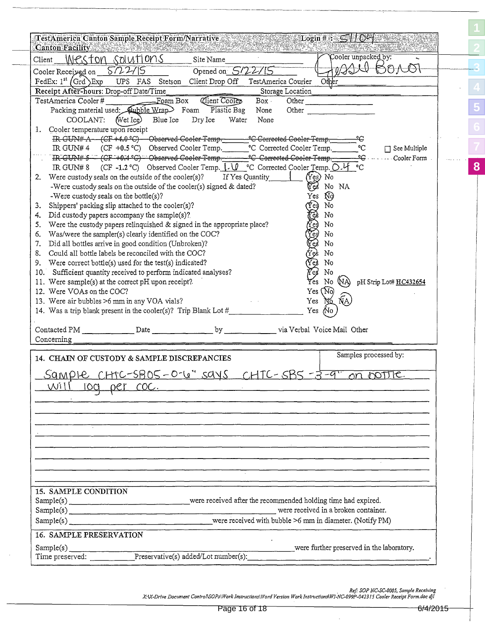| Canton Facility Martin March 1998 - 1999<br>Client                                                       | Weston solutions                                                                                                                                       | Site Name                                                                                                                                                                                                                      |                  | ervan verme as veleves    | Cooler unpacked by:         |                        |
|----------------------------------------------------------------------------------------------------------|--------------------------------------------------------------------------------------------------------------------------------------------------------|--------------------------------------------------------------------------------------------------------------------------------------------------------------------------------------------------------------------------------|------------------|---------------------------|-----------------------------|------------------------|
| Cooler Received on $5/22/15$                                                                             |                                                                                                                                                        | Opened on $5/22$                                                                                                                                                                                                               |                  |                           |                             | VAN BOAO               |
| FedEx: $1^{st}$ (Grd) Exp                                                                                | UPS FAS Stetson Client Drop Off                                                                                                                        |                                                                                                                                                                                                                                |                  | TestAmerica Courier Other |                             |                        |
| Receipt After-hours: Drop-off Date/Time                                                                  |                                                                                                                                                        |                                                                                                                                                                                                                                | Storage Location |                           |                             |                        |
| TestAmerica Cooler#                                                                                      | $\overline{\phantom{a}}$ Foam Box                                                                                                                      | Client Cooler                                                                                                                                                                                                                  | Box -            | Other                     | <u> 1982 - Alexandria A</u> |                        |
|                                                                                                          | Packing material used: Bubble Wrap Foam                                                                                                                | Plastic Bag                                                                                                                                                                                                                    | None             | Other                     |                             |                        |
| COOLANT:                                                                                                 | (Wet Ice) Blue Ice                                                                                                                                     | Dry Ice<br>Water                                                                                                                                                                                                               | None             |                           |                             |                        |
| 1. Cooler temperature upon receipt                                                                       |                                                                                                                                                        |                                                                                                                                                                                                                                |                  |                           |                             |                        |
|                                                                                                          | IR GUN# A (CF +4.0°C) Observed Cooler Temp. C Corrected Cooler Temp.                                                                                   |                                                                                                                                                                                                                                |                  |                           | ٩C                          |                        |
|                                                                                                          | IR GUN# 4 (CF +0.5 °C) Observed Cooler Temp. C Corrected Cooler Temp.                                                                                  |                                                                                                                                                                                                                                |                  |                           | °C                          | $\Box$ See Multiple    |
|                                                                                                          | IR GUN# 5 - (CF +0.4 °C) - Observed Cooler Temp. C Corrected Cooler Temp.                                                                              |                                                                                                                                                                                                                                |                  |                           | <u>್ಲೋ</u>                  | Cooler Form            |
|                                                                                                          | IR GUN# 8 (CF -1.2 °C) Observed Cooler Temp. $\downarrow \downarrow \vee \downarrow$ °C Corrected Cooler Temp. $\bigcirc \cdot \downarrow \uparrow$ °C |                                                                                                                                                                                                                                |                  |                           |                             |                        |
| 2. Were custody seals on the outside of the cooler(s)? If Yes Quantity                                   |                                                                                                                                                        |                                                                                                                                                                                                                                |                  | $(Y_{es})$ No             |                             |                        |
|                                                                                                          | -Were custody seals on the outside of the cooler(s) signed & dated?                                                                                    |                                                                                                                                                                                                                                |                  | Ver                       | No NA                       |                        |
| -Were custody seals on the bottle(s)?                                                                    |                                                                                                                                                        |                                                                                                                                                                                                                                |                  | Yes Ñ9                    |                             |                        |
| 3.                                                                                                       | Shippers' packing slip attached to the cooler(s)?                                                                                                      |                                                                                                                                                                                                                                |                  | Ýe) No                    |                             |                        |
| 4. Did custody papers accompany the sample(s)?                                                           |                                                                                                                                                        |                                                                                                                                                                                                                                |                  | g<br>No                   |                             |                        |
| 5.                                                                                                       | Were the custody papers relinquished & signed in the appropriate place?                                                                                |                                                                                                                                                                                                                                |                  |                           | No                          |                        |
| 6.                                                                                                       | Was/were the sampler(s) clearly identified on the COC?                                                                                                 |                                                                                                                                                                                                                                |                  | <b>ACCESS</b>             | No                          |                        |
| 7.                                                                                                       | Did all bottles arrive in good condition (Unbroken)?                                                                                                   |                                                                                                                                                                                                                                |                  |                           | No                          |                        |
| 8. Could all bottle labels be reconciled with the COC?                                                   |                                                                                                                                                        |                                                                                                                                                                                                                                |                  | No                        |                             |                        |
|                                                                                                          |                                                                                                                                                        |                                                                                                                                                                                                                                |                  | Yes                       |                             |                        |
| 9. Were correct bottle(s) used for the test(s) indicated?                                                |                                                                                                                                                        |                                                                                                                                                                                                                                |                  | Ye)<br>No                 |                             |                        |
| 10. Sufficient quantity received to perform indicated analyses?                                          |                                                                                                                                                        |                                                                                                                                                                                                                                |                  | 7es                       | No                          |                        |
| 11. Were sample(s) at the correct pH upon receipt?                                                       |                                                                                                                                                        |                                                                                                                                                                                                                                |                  |                           | Yes No (NA)                 | pH Strip Lot# HC432654 |
| 12. Were VOAs on the COC?                                                                                |                                                                                                                                                        |                                                                                                                                                                                                                                |                  | Yes (No)                  |                             |                        |
| 13. Were air bubbles >6 mm in any VOA vials?                                                             |                                                                                                                                                        |                                                                                                                                                                                                                                |                  | Yes                       | No NA                       |                        |
| 14. Was a trip blank present in the cooler(s)? Trip Blank Lot #_________                                 |                                                                                                                                                        |                                                                                                                                                                                                                                |                  | Yes No                    |                             |                        |
| Contacted PM Date Date by by via Verbal Voice Mail Other                                                 |                                                                                                                                                        |                                                                                                                                                                                                                                |                  |                           |                             |                        |
| Concerning                                                                                               |                                                                                                                                                        |                                                                                                                                                                                                                                |                  |                           |                             |                        |
|                                                                                                          |                                                                                                                                                        |                                                                                                                                                                                                                                |                  |                           |                             |                        |
| 14. CHAIN OF CUSTODY & SAMPLE DISCREPANCIES                                                              |                                                                                                                                                        |                                                                                                                                                                                                                                |                  |                           | Samples processed by:       |                        |
|                                                                                                          | <u> Sampie CHTC-SBO5-O-6" says CHTC-SB5-3-9"</u>                                                                                                       |                                                                                                                                                                                                                                |                  |                           |                             | on portie.             |
|                                                                                                          |                                                                                                                                                        |                                                                                                                                                                                                                                |                  |                           |                             |                        |
| $\overline{\text{Wil}}$                                                                                  | log per coc.                                                                                                                                           |                                                                                                                                                                                                                                |                  |                           |                             |                        |
|                                                                                                          |                                                                                                                                                        |                                                                                                                                                                                                                                |                  |                           |                             |                        |
|                                                                                                          |                                                                                                                                                        |                                                                                                                                                                                                                                |                  |                           |                             |                        |
|                                                                                                          |                                                                                                                                                        | and the control of the control of the control of the control of the control of the control of the control of the                                                                                                               |                  |                           |                             |                        |
|                                                                                                          |                                                                                                                                                        |                                                                                                                                                                                                                                |                  |                           |                             |                        |
|                                                                                                          |                                                                                                                                                        | 1000 - 1000 - 1000 - 1000 - 1000 - 1000 - 1000 - 1000 - 1000 - 1000 - 1000 - 1000 - 1000 - 1000 - 1000 - 1000<br>1000 - 1000 - 1000 - 1000 - 1000 - 1000 - 1000 - 1000 - 1000 - 1000 - 1000 - 1000 - 1000 - 1000 - 1000 - 1000 |                  |                           |                             |                        |
|                                                                                                          |                                                                                                                                                        |                                                                                                                                                                                                                                |                  |                           |                             |                        |
|                                                                                                          |                                                                                                                                                        |                                                                                                                                                                                                                                |                  |                           |                             |                        |
|                                                                                                          |                                                                                                                                                        |                                                                                                                                                                                                                                |                  |                           |                             |                        |
|                                                                                                          |                                                                                                                                                        |                                                                                                                                                                                                                                |                  |                           |                             |                        |
| 15. SAMPLE CONDITION                                                                                     |                                                                                                                                                        |                                                                                                                                                                                                                                |                  |                           |                             |                        |
|                                                                                                          |                                                                                                                                                        |                                                                                                                                                                                                                                |                  |                           |                             |                        |
| Sample(s) _________________________________were received after the recommended holding time had expired. |                                                                                                                                                        |                                                                                                                                                                                                                                |                  |                           |                             |                        |
|                                                                                                          |                                                                                                                                                        |                                                                                                                                                                                                                                |                  |                           |                             |                        |
|                                                                                                          |                                                                                                                                                        |                                                                                                                                                                                                                                |                  |                           |                             |                        |
|                                                                                                          |                                                                                                                                                        |                                                                                                                                                                                                                                |                  |                           |                             |                        |
| 16. SAMPLE PRESERVATION                                                                                  |                                                                                                                                                        |                                                                                                                                                                                                                                |                  |                           |                             |                        |

Ref: SOP NC-SC-0005, Sample Receiving<br>X:\X-Drive Document Control\SOPs\Work Instructions\Word Version Work Instructions\WI-NC-099P-042315 Cooler Receipt Form.doc djl

**[3](#page-2-0)**

 $\mathbf{r}$ 

**[5](#page-4-0)**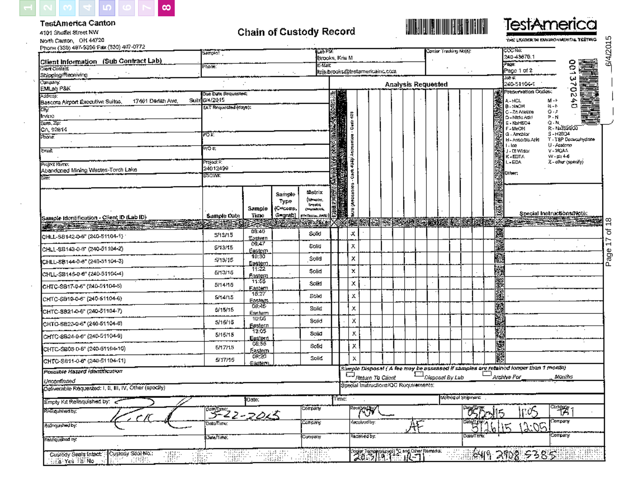

**TestAmerica Canton** 

⊙g‰ Yea BaliNo

A STEAMER

#### **TestAmerica** <u>ER HENRICH</u> **Chain of Custody Record** 4101 Shuffel Street NW Page 17 of 18 (  $\qquad \qquad$   $\qquad$   $\qquad$   $\qquad$   $\qquad$   $\qquad$   $\qquad$   $\qquad$   $\qquad$   $\qquad$   $\qquad$   $\qquad$   $\qquad$   $\qquad$   $\qquad$   $\qquad$   $\qquad$   $\qquad$   $\qquad$   $\qquad$   $\qquad$   $\qquad$   $\qquad$   $\qquad$   $\qquad$   $\qquad$   $\qquad$   $\qquad$   $\qquad$   $\qquad$   $\qquad$   $\qquad$   $\qquad$   $\qquad$ North Canton, OH 44720 the Lisader in Environmental Yesting. 6/4/2015 Phone (330) 487-9396 Fax (330) 497-0772 ಯಾಗಿದ Las PSI: Conjer Traduity No(a): Samples T 240-43676.1 Brooks, Kris M Client Information (Sub Contract Lab) ğ 雨海 F izali Phone: Client Contact k:is:brooks@testamericainc.com Page 1 of 2 Shipping/Receiving Job 40 E, Compány. 240-51104-1 **Analysis Requested** ₩ EMLab P&K g Preservation Codes: Due Dato Requested: Address: Suite 6/4/2015 17461 Derlan Ave, A-HCL  $M - F$ 合 Baseom Airport Executive Suites, 89 **B-NaOH**  $\mathbb{N} \cup \mathbb{N}$ (AT Requested (days); œ. C - Zo Anelate  $O - F$ Cart 434p Asissastes - Cart 435 Irvine **D** «Nicio Addi ≯-N 消費を持ちます State, Zip.  $E - N = HSD4$  $Q - N$ R-NASSISOO CA 92614 F-MeOR G - Amchion  $S - H2804$ ਸਾਰ ਦੇ Phone: H - Associate Anklin T - TSP Documents draw  $1 - 1$ ce U - Acatema 20 H V-MGAA टेक्सडे J - DE Wellar  $W - p \hat{p} + 46$ K-EDTA L-EDA Z - ollur (specify) ना ब्दर मे Project Name: 24012499 Abandoned Mining Wastes-Torch Lake Other, SCWX: soleasues area **Matrix** Sample (Wrocler, Type î ûri s adla Sample (C=comp, **Convenience** Special Instructions/Note: **Sample Date** Time G=grab) **STATESIAL AAN** Sample Identification - Client ID (Lab ID) **交叉接受 医定期的**  $\frac{8}{1}$ 23 膟 **Sex osement** Kanalis s Ø. <del>e solore de red</del> **SECONDERS COMPANY** 鷚 08:40 ৳ х Solid CHLL-SB142-0-5" (240-51104-1) 5/13/15 <u>Eastern</u>  $\overline{1}$ 屬 09:47 Solid х 5/13/15 CHLL-SB143-0-6" (240-31104-2) Page <u>Eastem</u><br>| 10:30 ä x Solid  $5/13/15$ CHLL-SB144-0-6" (240-51104-3) Eastern.<br>11:22 颜  $\pmb{\times}$ Solid 5/13/15 CHLL-SB145-0-8" (240-51104-4) <u>Fastern</u> 11:55 X. Solid 5/14/15 CHTC-SB17-0-5" (240-51104-5) Eastern Ä 15.27 х Solid 5/14/15 CHTC-SB19-0-6" (240-51104-6) Easiert<br>08:45 Ø х Solid \$/15/15 CHTC-SB21-0-6" (240-51104-7) Eastern 10:05 ä х Solid 5/15/15 CHTC-SB23-0-6" (240-51104-6) <u> Eastern</u> 薩特 13.05 х 5/15/15 Solid CHTC-\$B24-0-6" (240-51104-9) Easterd 驣 08:55 Solid х 6/17/15 CHTC-SB03-0-6" (240-51104-10) Esstem ğ 08:20 Solid  $\boldsymbol{\mathsf{x}}$ 5/17/15 CHTC-SB11-0-6" (240-51104-11) Eastern Sample Disposal (A fee may be assessed if samples are retained longer than 1 month) Possible Hazard Identification  $\Box$ Disposel By Lab Archive For Return To Client Months Unconfirmed Special Instructions/QC Requirements: Deliverable Requested: I, II, III, IV, Other (specily) welhod of Shipmanic Time: Date: Empty Kit Relinquished by: 3-22-2015  $\mathbb{F}^{\mathbb{R}}$ ्री **Company** Reinquisited by: τμ <u>रेगस्थल</u> Debo/Time: Concery Kecuiyad by: Relinquished by: Company Received by: Date Time: ‡Compoziyi Rehnquished by: Code Tempipung 2 and Cubr Remedia. Togalari<br>Sugar ERRIK କ୍ଷେମ୍ବ 202335 Custody Seals Intect Custody Sool No.: USEF<br>JSEF SBST **SHARR**